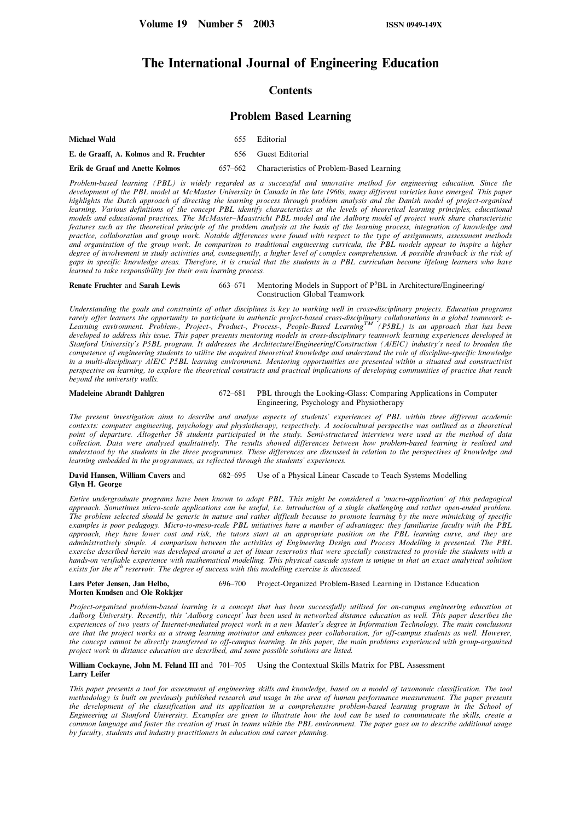# The International Journal of Engineering Education

## **Contents**

## Problem Based Learning

| <b>Michael Wald</b>                     | 655. | Editorial                                         |
|-----------------------------------------|------|---------------------------------------------------|
| E. de Graaff, A. Kolmos and R. Fruchter |      | 656 Guest Editorial                               |
| Erik de Graaf and Anette Kolmos         |      | 657–662 Characteristics of Problem-Based Learning |

Problem-based learning (PBL) is widely regarded as a successful and innovative method for engineering education. Since the development of the PBL model at McMaster University in Canada in the late 1960s, many different varieties have emerged. This paper highlights the Dutch approach of directing the learning process through problem analysis and the Danish model of project-organised learning. Various definitions of the concept PBL identify characteristics at the levels of theoretical learning principles, educational models and educational practices. The McMaster-Maastricht PBL model and the Aalborg model of project work share characteristic features such as the theoretical principle of the problem analysis at the basis of the learning process, integration of knowledge and practice, collaboration and group work. Notable differences were found with respect to the type of assignments, assessment methods and organisation of the group work. In comparison to traditional engineering curricula, the PBL models appear to inspire a higher degree of involvement in study activities and, consequently, a higher level of complex comprehension. A possible drawback is the risk of gaps in specific knowledge areas. Therefore, it is crucial that the students in a PBL curriculum become lifelong learners who have learned to take responsibility for their own learning process.

Renate Fruchter and Sarah Lewis 663-671 Mentoring Models in Support of P<sup>5</sup>BL in Architecture/Engineering/ Construction Global Teamwork

Understanding the goals and constraints of other disciplines is key to working well in cross-disciplinary projects. Education programs rarely offer learners the opportunity to participate in authentic project-based cross-disciplinary collaborations in a global teamwork e-Learning environment. Problem-, Project-, Product-, Process-, People-Based Learning<sup>TM</sup> (P5BL) is an approach that has been developed to address this issue. This paper presents mentoring models in cross-disciplinary teamwork learning experiences developed in Stanford University's P5BL program. It addresses the Architecture/Engineering/Construction (A/E/C) industry's need to broaden the competence of engineering students to utilize the acquired theoretical knowledge and understand the role of discipline-specific knowledge in a multi-disciplinary A/E/C P5BL learning environment. Mentoring opportunities are presented within a situated and constructivist perspective on learning, to explore the theoretical constructs and practical implications of developing communities of practice that reach beyond the university walls.

Madeleine Abrandt Dahlgren 672-681 PBL through the Looking-Glass: Comparing Applications in Computer Engineering, Psychology and Physiotherapy

The present investigation aims to describe and analyse aspects of students' experiences of PBL within three different academic contexts: computer engineering, psychology and physiotherapy, respectively. A sociocultural perspective was outlined as a theoretical point of departure. Altogether 58 students participated in the study. Semi-structured interviews were used as the method of data collection. Data were analysed qualitatively. The results showed differences between how problem-based learning is realised and understood by the students in the three programmes. These differences are discussed in relation to the perspectives of knowledge and learning embedded in the programmes, as reflected through the students' experiences.

David Hansen, William Cavers and 682-695 Use of a Physical Linear Cascade to Teach Systems Modelling Glyn H. George

Entire undergraduate programs have been known to adopt PBL. This might be considered a `macro-application' of this pedagogical approach. Sometimes micro-scale applications can be useful, i.e. introduction of a single challenging and rather open-ended problem. The problem selected should be generic in nature and rather difficult because to promote learning by the mere mimicking of specific examples is poor pedagogy. Micro-to-meso-scale PBL initiatives have a number of advantages: they familiarise faculty with the PBL approach, they have lower cost and risk, the tutors start at an appropriate position on the PBL learning curve, and they are administratively simple. A comparison between the activities of Engineering Design and Process Modelling is presented. The PBL exercise described herein was developed around a set of linear reservoirs that were specially constructed to provide the students with a hands-on verifiable experience with mathematical modelling. This physical cascade system is unique in that an exact analytical solution exists for the  $n^{th}$  reservoir. The degree of success with this modelling exercise is discussed.

Lars Peter Jensen, Jan Helbo, 696-700 Project-Organized Problem-Based Learning in Distance Education Morten Knudsen and Ole Rokkjær

Project-organized problem-based learning is a concept that has been successfully utilised for on-campus engineering education at Aalborg University. Recently, this `Aalborg concept' has been used in networked distance education as well. This paper describes the experiences of two years of Internet-mediated project work in a new Master's degree in Information Technology. The main conclusions are that the project works as a strong learning motivator and enhances peer collaboration, for off-campus students as well. However, the concept cannot be directly transferred to off-campus learning. In this paper, the main problems experienced with group-organized project work in distance education are described, and some possible solutions are listed.

### William Cockayne, John M. Feland III and 701-705 Using the Contextual Skills Matrix for PBL Assessment Larry Leifer

This paper presents a tool for assessment of engineering skills and knowledge, based on a model of taxonomic classification. The tool methodology is built on previously published research and usage in the area of human performance measurement. The paper presents the development of the classification and its application in a comprehensive problem-based learning program in the School of Engineering at Stanford University. Examples are given to illustrate how the tool can be used to communicate the skills, create a common language and foster the creation of trust in teams within the PBL environment. The paper goes on to describe additional usage by faculty, students and industry practitioners in education and career planning.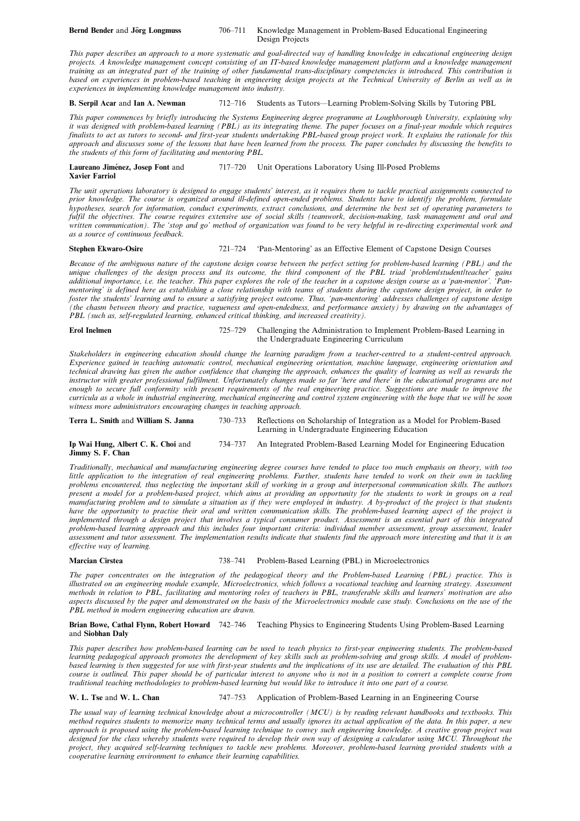#### Bernd Bender and Jörg Longmuss 706-711 Knowledge Management in Problem-Based Educational Engineering Design Projects

This paper describes an approach to a more systematic and goal-directed way of handling knowledge in educational engineering design projects. A knowledge management concept consisting of an IT-based knowledge management platform and a knowledge management training as an integrated part of the training of other fundamental trans-disciplinary competencies is introduced. This contribution is based on experiences in problem-based teaching in engineering design projects at the Technical University of Berlin as well as in experiences in implementing knowledge management into industry.

### B. Serpil Acar and Ian A. Newman 712-716 Students as Tutors—Learning Problem-Solving Skills by Tutoring PBL

This paper commences by briefly introducing the Systems Engineering degree programme at Loughborough University, explaining why it was designed with problem-based learning (PBL) as its integrating theme. The paper focuses on a final-year module which requires finalists to act as tutors to second- and first-year students undertaking PBL-based group project work. It explains the rationale for this approach and discusses some of the lessons that have been learned from the process. The paper concludes by discussing the benefits to the students of this form of facilitating and mentoring PBL.

Laureano Jiménez, Josep Font and 717–720 Unit Operations Laboratory Using Ill-Posed Problems Xavier Farriol

The unit operations laboratory is designed to engage students' interest, as it requires them to tackle practical assignments connected to prior knowledge. The course is organized around ill-defined open-ended problems. Students have to identify the problem, formulate hypotheses, search for information, conduct experiments, extract conclusions, and determine the best set of operating parameters to fulfil the objectives. The course requires extensive use of social skills (teamwork, decision-making, task management and oral and written communication). The `stop and go' method of organization was found to be very helpful in re-directing experimental work and as a source of continuous feedback.

### Stephen Ekwaro-Osire 721-724 <sup>'Pan-Mentoring' as an Effective Element of Capstone Design Courses</sup>

Because of the ambiguous nature of the capstone design course between the perfect setting for problem-based learning (PBL) and the unique challenges of the design process and its outcome, the third component of the PBL triad `problem/student/teacher' gains additional importance, i.e. the teacher. This paper explores the role of the teacher in a capstone design course as a 'pan-mentor'. Panmentoring' is defined here as establishing a close relationship with teams of students during the capstone design project, in order to foster the students' learning and to ensure a satisfying project outcome. Thus, `pan-mentoring' addresses challenges of capstone design (the chasm between theory and practice, vagueness and open-endedness, and performance anxiety) by drawing on the advantages of PBL (such as, self-regulated learning, enhanced critical thinking, and increased creativity).

#### Erol Inelmen 725-729 Challenging the Administration to Implement Problem-Based Learning in the Undergraduate Engineering Curriculum

Stakeholders in engineering education should change the learning paradigm from a teacher-centred to a student-centred approach. Experience gained in teaching automatic control, mechanical engineering orientation, machine language, engineering orientation and technical drawing has given the author confidence that changing the approach, enhances the quality of learning as well as rewards the instructor with greater professional fulfilment. Unfortunately changes made so far `here and there' in the educational programs are not enough to secure full conformity with present requirements of the real engineering practice. Suggestions are made to improve the curricula as a whole in industrial engineering, mechanical engineering and control system engineering with the hope that we will be soon witness more administrators encouraging changes in teaching approach.

| Terra L. Smith and William S. Janna | 730–733 Reflections on Scholarship of Integration as a Model for Problem-Based<br>Learning in Undergraduate Engineering Education |
|-------------------------------------|-----------------------------------------------------------------------------------------------------------------------------------|
| _ __. . __                          |                                                                                                                                   |

Ip Wai Hung, Albert C. K. Choi and 734–737 An Integrated Problem-Based Learning Model for Engineering Education Jimmy S. F. Chan

Traditionally, mechanical and manufacturing engineering degree courses have tended to place too much emphasis on theory, with too little application to the integration of real engineering problems. Further, students have tended to work on their own in tackling problems encountered, thus neglecting the important skill of working in a group and interpersonal communication skills. The authors present a model for a problem-based project, which aims at providing an opportunity for the students to work in groups on a real manufacturing problem and to simulate a situation as if they were employed in industry. A by-product of the project is that students have the opportunity to practise their oral and written communication skills. The problem-based learning aspect of the project is implemented through a design project that involves a typical consumer product. Assessment is an essential part of this integrated problem-based learning approach and this includes four important criteria: individual member assessment, group assessment, leader assessment and tutor assessment. The implementation results indicate that students find the approach more interesting and that it is an effective way of learning.

### Marcian Cirstea 738-741 Problem-Based Learning (PBL) in Microelectronics

The paper concentrates on the integration of the pedagogical theory and the Problem-based Learning (PBL) practice. This is illustrated on an engineering module example, Microelectronics, which follows a vocational teaching and learning strategy. Assessment methods in relation to PBL, facilitating and mentoring roles of teachers in PBL, transferable skills and learners' motivation are also aspects discussed by the paper and demonstrated on the basis of the Microelectronics module case study. Conclusions on the use of the PBL method in modern engineering education are drawn.

### Brian Bowe, Cathal Flynn, Robert Howard 742-746 Teaching Physics to Engineering Students Using Problem-Based Learning and Siobhan Daly

This paper describes how problem-based learning can be used to teach physics to first-year engineering students. The problem-based learning pedagogical approach promotes the development of key skills such as problem-solving and group skills. A model of problembased learning is then suggested for use with first-year students and the implications of its use are detailed. The evaluation of this PBL course is outlined. This paper should be of particular interest to anyone who is not in a position to convert a complete course from traditional teaching methodologies to problem-based learning but would like to introduce it into one part of a course.

W. L. Tse and W. L. Chan 747-753 Application of Problem-Based Learning in an Engineering Course

The usual way of learning technical knowledge about a microcontroller (MCU) is by reading relevant handbooks and textbooks. This method requires students to memorize many technical terms and usually ignores its actual application of the data. In this paper, a new approach is proposed using the problem-based learning technique to convey such engineering knowledge. A creative group project was designed for the class whereby students were required to develop their own way of designing a calculator using MCU. Throughout the project, they acquired self-learning techniques to tackle new problems. Moreover, problem-based learning provided students with a cooperative learning environment to enhance their learning capabilities.